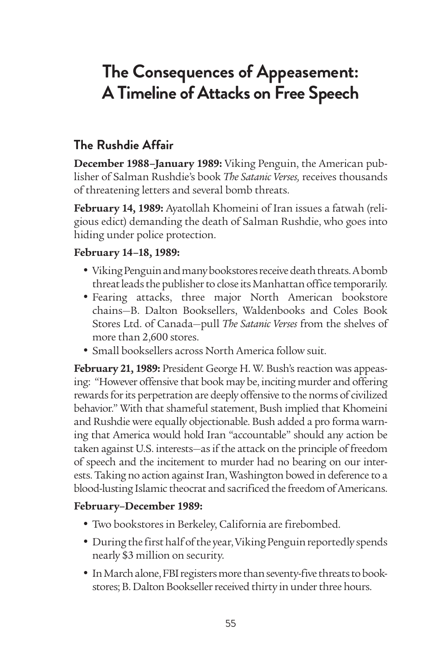# **The Consequences of Appeasement: A Timeline of Attacks on Free Speech**

## **The Rushdie Affair**

**December 1988–January 1989:** Viking Penguin, the American publisher of Salman Rushdie's book *The Satanic Verses,* receives thousands of threatening letters and several bomb threats.

**February 14, 1989:** Ayatollah Khomeini of Iran issues a fatwah (religious edict) demanding the death of Salman Rushdie, who goes into hiding under police protection.

#### **February 14–18, 1989:**

- • Viking Penguin and many bookstores receive death threats. A bomb threat leads the publisher to close its Manhattan office temporarily.
- Fearing attacks, three major North American bookstore chains—B. Dalton Booksellers, Waldenbooks and Coles Book Stores Ltd. of Canada—pull *The Satanic Verses* from the shelves of more than 2,600 stores.
- Small booksellers across North America follow suit.

**February 21, 1989:** President George H. W. Bush's reaction was appeasing: "However offensive that book may be, inciting murder and offering rewards for its perpetration are deeply offensive to the norms of civilized behavior." With that shameful statement, Bush implied that Khomeini and Rushdie were equally objectionable. Bush added a pro forma warning that America would hold Iran "accountable" should any action be taken against U.S. interests—as if the attack on the principle of freedom of speech and the incitement to murder had no bearing on our interests. Taking no action against Iran, Washington bowed in deference to a blood-lusting Islamic theocrat and sacrificed the freedom of Americans.

#### **February–December 1989:**

- Two bookstores in Berkeley, California are firebombed.
- During the first half of the year, Viking Penguin reportedly spends nearly \$3 million on security.
- In March alone, FBI registers more than seventy-five threats to bookstores; B. Dalton Bookseller received thirty in under three hours.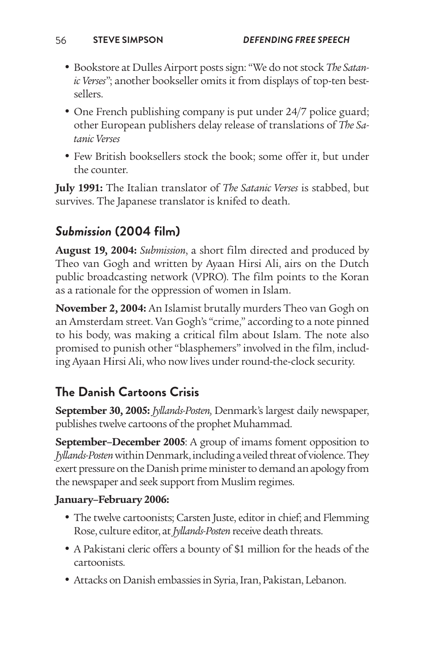- • Bookstore at Dulles Airport posts sign: "We do not stock *The Satanic Verses*"; another bookseller omits it from displays of top-ten bestsellers.
- One French publishing company is put under 24/7 police guard; other European publishers delay release of translations of *The Satanic Verses*
- Few British booksellers stock the book; some offer it, but under the counter.

**July 1991:** The Italian translator of *The Satanic Verses* is stabbed, but survives. The Japanese translator is knifed to death.

# *Submission* **(2004 film)**

**August 19, 2004:** *Submission*, a short film directed and produced by Theo van Gogh and written by Ayaan Hirsi Ali, airs on the Dutch public broadcasting network (VPRO). The film points to the Koran as a rationale for the oppression of women in Islam.

**November 2, 2004:** An Islamist brutally murders Theo van Gogh on an Amsterdam street. Van Gogh's "crime," according to a note pinned to his body, was making a critical film about Islam. The note also promised to punish other "blasphemers" involved in the film, including Ayaan Hirsi Ali, who now lives under round-the-clock security.

# **The Danish Cartoons Crisis**

**September 30, 2005:** *Jyllands-Posten,* Denmark's largest daily newspaper, publishes twelve cartoons of the prophet Muhammad.

**September–December 2005**: A group of imams foment opposition to *Jyllands-Posten* within Denmark, including a veiled threat of violence. They exert pressure on the Danish prime minister to demand an apology from the newspaper and seek support from Muslim regimes.

#### **January–February 2006:**

- The twelve cartoonists; Carsten Juste, editor in chief; and Flemming Rose, culture editor, at *Jyllands-Posten* receive death threats.
- A Pakistani cleric offers a bounty of \$1 million for the heads of the cartoonists.
- • Attacks on Danish embassies in Syria, Iran, Pakistan, Lebanon.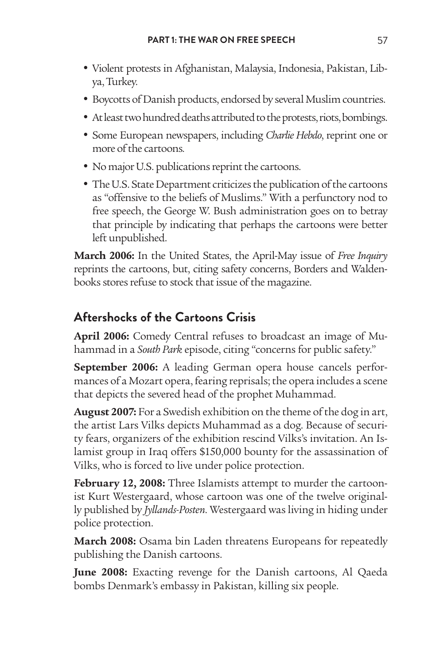- • Violent protests in Afghanistan, Malaysia, Indonesia, Pakistan, Libya, Turkey.
- Boycotts of Danish products, endorsed by several Muslim countries.
- At least two hundred deaths attributed to the protests, riots, bombings.
- • Some European newspapers, including *Charlie Hebdo*, reprint one or more of the cartoons*.*
- No major U.S. publications reprint the cartoons.
- The U.S. State Department criticizes the publication of the cartoons as "offensive to the beliefs of Muslims." With a perfunctory nod to free speech, the George W. Bush administration goes on to betray that principle by indicating that perhaps the cartoons were better left unpublished.

**March 2006:** In the United States, the April-May issue of *Free Inquiry* reprints the cartoons, but, citing safety concerns, Borders and Waldenbooks stores refuse to stock that issue of the magazine.

## **Aftershocks of the Cartoons Crisis**

**April 2006:** Comedy Central refuses to broadcast an image of Muhammad in a *South Park* episode, citing "concerns for public safety."

**September 2006:** A leading German opera house cancels performances of a [Mozart](http://topics.nytimes.com/top/reference/timestopics/people/m/wolfgang_amadeus_mozart/index.html?inline=nyt-per) opera, fearing reprisals; the opera includes a scene that depicts the severed head of the prophet Muhammad.

**August 2007:** For a Swedish exhibition on the theme of the dog in art, the artist Lars Vilks depicts Muhammad as a dog. Because of security fears, organizers of the exhibition rescind Vilks's invitation. An Islamist group in Iraq offers \$150,000 bounty for the assassination of Vilks, who is forced to live under police protection.

**February 12, 2008:** Three Islamists attempt to murder the cartoonist Kurt Westergaard, whose cartoon was one of the twelve originally published by *Jyllands-Posten*. Westergaard was living in hiding under police protection.

**March 2008:** Osama bin Laden threatens Europeans for repeatedly publishing the Danish cartoons.

**June 2008:** Exacting revenge for the Danish cartoons, Al Qaeda bombs Denmark's embassy in Pakistan, killing six people.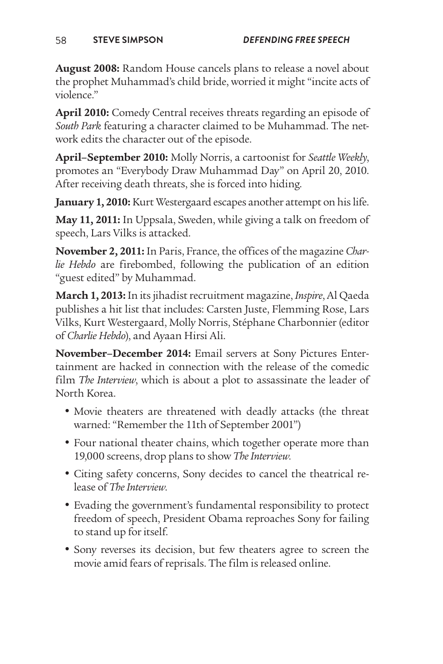**August 2008:** Random House cancels plans to release a novel about the prophet Muhammad's child bride, worried it might "incite acts of violence."

**April 2010:** Comedy Central receives threats regarding an episode of *South Park* featuring a character claimed to be Muhammad. The network edits the character out of the episode.

**April–September 2010:** Molly Norris, a cartoonist for *Seattle Weekly*, promotes an "Everybody Draw Muhammad Day" on April 20, 2010. After receiving death threats, she is forced into hiding.

**January 1, 2010:** Kurt Westergaard escapes another attempt on his life.

**May 11, 2011:** In Uppsala, Sweden, while giving a talk on freedom of speech, Lars Vilks is attacked.

**November 2, 2011:** In Paris, France, the offices of the magazine *Charlie Hebdo* are firebombed, following the publication of an edition "guest edited" by Muhammad.

**March 1, 2013:** In its jihadist recruitment magazine, *Inspire*, Al Qaeda publishes a hit list that includes: Carsten Juste, Flemming Rose, Lars Vilks, Kurt Westergaard, Molly Norris, Stéphane Charbonnier (editor of *Charlie Hebdo*), and Ayaan Hirsi Ali.

**November–December 2014:** Email servers at Sony Pictures Entertainment are hacked in connection with the release of the comedic film *The Interview*, which is about a plot to assassinate the leader of North Korea.

- Movie theaters are threatened with deadly attacks (the threat warned: "Remember the 11th of September 2001")
- Four national theater chains, which together operate more than 19,000 screens, drop plans to show *The Interview.*
- Citing safety concerns, Sony decides to cancel the theatrical release of *The Interview*.
- Evading the government's fundamental responsibility to protect freedom of speech, President Obama reproaches Sony for failing to stand up for itself.
- Sony reverses its decision, but few theaters agree to screen the movie amid fears of reprisals. The film is released online.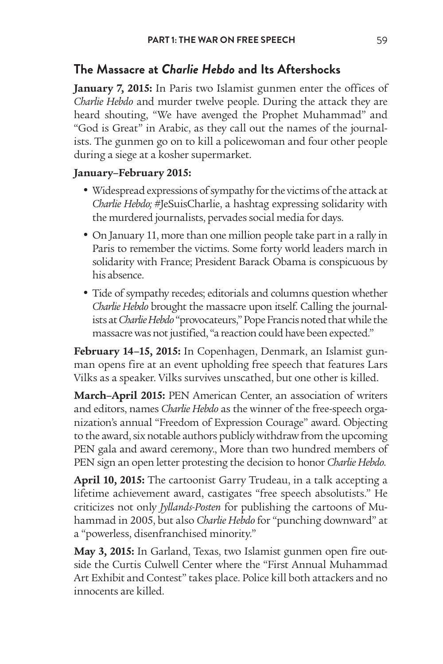#### **The Massacre at** *Charlie Hebdo* **and Its Aftershocks**

**January 7, 2015:** In Paris two Islamist gunmen enter the offices of *Charlie Hebdo* and murder twelve people. During the attack they are heard shouting, "We have avenged the Prophet Muhammad" and "God is Great" in Arabic, as they call out the names of the journalists. The gunmen go on to kill a policewoman and four other people during a siege at a kosher supermarket.

#### **January–February 2015:**

- Widespread expressions of sympathy for the victims of the attack at *Charlie Hebdo;* #JeSuisCharlie, a hashtag expressing solidarity with the murdered journalists, pervades social media for days.
- On January 11, more than one million people take part in a rally in Paris to remember the victims. Some forty world leaders march in solidarity with France; President Barack Obama is conspicuous by his absence.
- Tide of sympathy recedes; editorials and columns question whether *Charlie Hebdo* brought the massacre upon itself. Calling the journalists at *Charlie Hebdo* "provocateurs," Pope Francis noted that while the massacre was not justified, "a reaction could have been expected."

**February 14–15, 2015:** In Copenhagen, Denmark, an Islamist gunman opens fire at an event upholding free speech that features Lars Vilks as a speaker. Vilks survives unscathed, but one other is killed.

**March–April 2015:** PEN American Center, an association of writers and editors, names *Charlie Hebdo* as the winner of the free-speech organization's annual "Freedom of Expression Courage" award. Objecting to the award, six notable authors publicly withdraw from the upcoming PEN gala and award ceremony., More than two hundred members of PEN sign an open letter protesting the decision to honor *Charlie Hebdo*.

**April 10, 2015:** The cartoonist Garry Trudeau, in a talk accepting a lifetime achievement award, castigates "free speech absolutists." He criticizes not only *Jyllands-Posten* for publishing the cartoons of Muhammad in 2005, but also *Charlie Hebdo* for "punching downward" at a "powerless, disenfranchised minority."

**May 3, 2015:** In Garland, Texas, two Islamist gunmen open fire outside the Curtis Culwell Center where the "First Annual Muhammad Art Exhibit and Contest" takes place. Police kill both attackers and no innocents are killed.